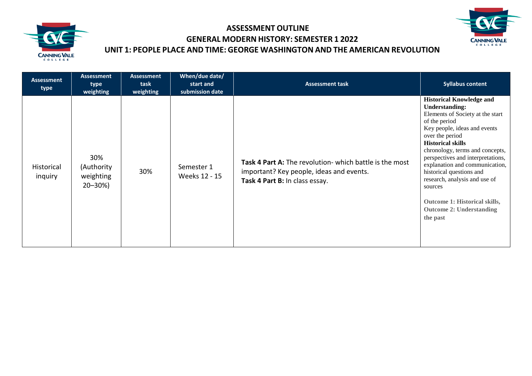



| <b>Assessment</b><br>type | <b>Assessment</b><br>type<br>weighting         | Assessment<br>task<br>weighting | When/due date/<br>start and<br>submission date | <b>Assessment task</b>                                                                                                                | <b>Syllabus content</b>                                                                                                                                                                                                                                                                                                                                                                                                                                        |
|---------------------------|------------------------------------------------|---------------------------------|------------------------------------------------|---------------------------------------------------------------------------------------------------------------------------------------|----------------------------------------------------------------------------------------------------------------------------------------------------------------------------------------------------------------------------------------------------------------------------------------------------------------------------------------------------------------------------------------------------------------------------------------------------------------|
| Historical<br>inguiry     | 30%<br>(Authority<br>weighting<br>$20 - 30\%)$ | 30%                             | Semester 1<br>Weeks 12 - 15                    | Task 4 Part A: The revolution- which battle is the most<br>important? Key people, ideas and events.<br>Task 4 Part B: In class essay. | <b>Historical Knowledge and</b><br><b>Understanding:</b><br>Elements of Society at the start<br>of the period<br>Key people, ideas and events<br>over the period<br><b>Historical skills</b><br>chronology, terms and concepts,<br>perspectives and interpretations,<br>explanation and communication,<br>historical questions and<br>research, analysis and use of<br>sources<br>Outcome 1: Historical skills,<br><b>Outcome 2: Understanding</b><br>the past |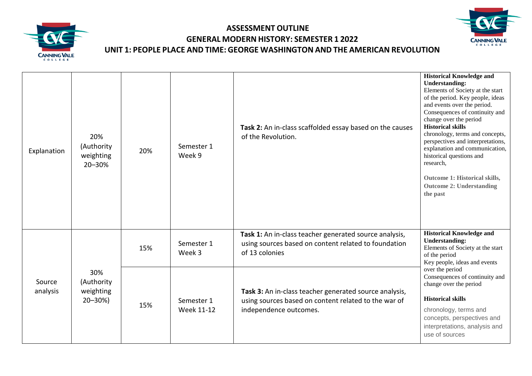



| Explanation        | 20%<br>(Authority<br>weighting<br>20-30%       | 20% | Semester 1<br>Week 9     | Task 2: An in-class scaffolded essay based on the causes<br>of the Revolution.                                                           | <b>Historical Knowledge and</b><br><b>Understanding:</b><br>Elements of Society at the start<br>of the period. Key people, ideas<br>and events over the period.<br>Consequences of continuity and<br>change over the period<br><b>Historical skills</b><br>chronology, terms and concepts,<br>perspectives and interpretations,<br>explanation and communication,<br>historical questions and<br>research,<br>Outcome 1: Historical skills,<br><b>Outcome 2: Understanding</b><br>the past |
|--------------------|------------------------------------------------|-----|--------------------------|------------------------------------------------------------------------------------------------------------------------------------------|--------------------------------------------------------------------------------------------------------------------------------------------------------------------------------------------------------------------------------------------------------------------------------------------------------------------------------------------------------------------------------------------------------------------------------------------------------------------------------------------|
| Source<br>analysis | 30%<br>(Authority<br>weighting<br>$20 - 30\%)$ | 15% | Semester 1<br>Week 3     | Task 1: An in-class teacher generated source analysis,<br>using sources based on content related to foundation<br>of 13 colonies         | <b>Historical Knowledge and</b><br><b>Understanding:</b><br>Elements of Society at the start<br>of the period<br>Key people, ideas and events                                                                                                                                                                                                                                                                                                                                              |
|                    |                                                | 15% | Semester 1<br>Week 11-12 | Task 3: An in-class teacher generated source analysis,<br>using sources based on content related to the war of<br>independence outcomes. | over the period<br>Consequences of continuity and<br>change over the period<br><b>Historical skills</b><br>chronology, terms and<br>concepts, perspectives and<br>interpretations, analysis and<br>use of sources                                                                                                                                                                                                                                                                          |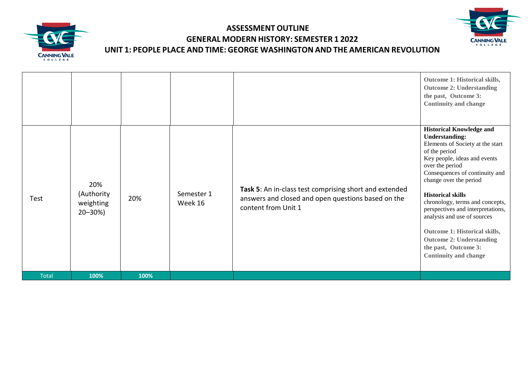



|              |                                                |      |                       |                                                                                                                                     | Outcome 1: Historical skills,<br><b>Outcome 2: Understanding</b><br>the past, Outcome 3:<br><b>Continuity and change</b>                                                                                                                                                                                                                                                                                                                                                                    |
|--------------|------------------------------------------------|------|-----------------------|-------------------------------------------------------------------------------------------------------------------------------------|---------------------------------------------------------------------------------------------------------------------------------------------------------------------------------------------------------------------------------------------------------------------------------------------------------------------------------------------------------------------------------------------------------------------------------------------------------------------------------------------|
| Test         | 20%<br>(Authority<br>weighting<br>$20 - 30\%)$ | 20%  | Semester 1<br>Week 16 | Task 5: An in-class test comprising short and extended<br>answers and closed and open questions based on the<br>content from Unit 1 | <b>Historical Knowledge and</b><br><b>Understanding:</b><br>Elements of Society at the start<br>of the period<br>Key people, ideas and events<br>over the period<br>Consequences of continuity and<br>change over the period<br><b>Historical skills</b><br>chronology, terms and concepts,<br>perspectives and interpretations,<br>analysis and use of sources<br>Outcome 1: Historical skills,<br><b>Outcome 2: Understanding</b><br>the past, Outcome 3:<br><b>Continuity and change</b> |
| <b>Total</b> | 100%                                           | 100% |                       |                                                                                                                                     |                                                                                                                                                                                                                                                                                                                                                                                                                                                                                             |